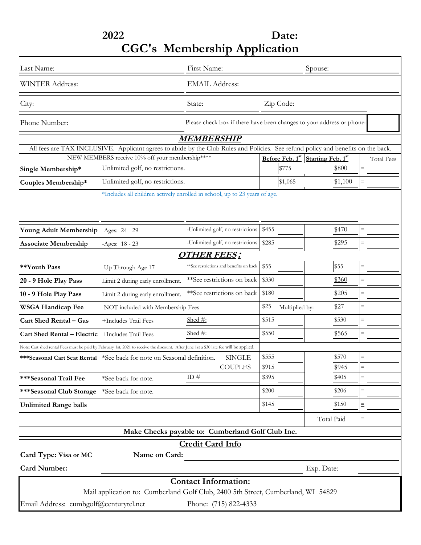# **2022 Date: CGC's Membership Application**

| Last Name:                                                                                                                              |                                                                                                                                   | First Name:                                                           |                                | Spouse:                    |                          |
|-----------------------------------------------------------------------------------------------------------------------------------------|-----------------------------------------------------------------------------------------------------------------------------------|-----------------------------------------------------------------------|--------------------------------|----------------------------|--------------------------|
| <b>WINTER Address:</b>                                                                                                                  |                                                                                                                                   | <b>EMAIL Address:</b>                                                 |                                |                            |                          |
| City:                                                                                                                                   |                                                                                                                                   | State:                                                                | Zip Code:                      |                            |                          |
| Phone Number:                                                                                                                           |                                                                                                                                   | Please check box if there have been changes to your address or phone: |                                |                            |                          |
|                                                                                                                                         |                                                                                                                                   | <i>MEMBERSHIP</i>                                                     |                                |                            |                          |
|                                                                                                                                         | All fees are TAX INCLUSIVE. Applicant agrees to abide by the Club Rules and Policies. See refund policy and benefits on the back. |                                                                       |                                |                            |                          |
| NEW MEMBERS receive 10% off your membership****<br>Unlimited golf, no restrictions.                                                     |                                                                                                                                   |                                                                       | Before Feb. 1st<br>\$775       | Starting Feb. 1st<br>\$800 | <b>Total Fees</b><br>$=$ |
| Single Membership*                                                                                                                      |                                                                                                                                   |                                                                       |                                |                            |                          |
| Couples Membership*                                                                                                                     | Unlimited golf, no restrictions.                                                                                                  |                                                                       | \$1,065                        | \$1,100                    |                          |
|                                                                                                                                         | *Includes all children actively enrolled in school, up to 23 years of age.                                                        |                                                                       |                                |                            |                          |
| Young Adult Membership                                                                                                                  | $-Ages: 24 - 29$                                                                                                                  | -Unlimited golf, no restrictions                                      | \$455                          | \$470                      |                          |
| <b>Associate Membership</b>                                                                                                             | $-Ages: 18 - 23$                                                                                                                  | -Unlimited golf, no restrictions                                      | \$285                          | \$295                      | $=$                      |
|                                                                                                                                         |                                                                                                                                   | <b>OTHER FEES:</b>                                                    |                                |                            |                          |
| **Youth Pass                                                                                                                            | -Up Through Age 17                                                                                                                | **See restrictions and benefits on back                               | \$55                           | \$55                       |                          |
| 20 - 9 Hole Play Pass                                                                                                                   | Limit 2 during early enrollment.                                                                                                  | **See restrictions on back                                            | \$330                          | \$360                      |                          |
| 10 - 9 Hole Play Pass                                                                                                                   | Limit 2 during early enrollment.                                                                                                  | **See restrictions on back                                            | \$180                          | \$205                      |                          |
| <b>WSGA Handicap Fee</b>                                                                                                                | -NOT included with Membership Fees                                                                                                |                                                                       | \$25<br>\$27<br>Multiplied by: |                            |                          |
| <b>Cart Shed Rental - Gas</b>                                                                                                           | +Includes Trail Fees                                                                                                              | Shed $#$ :                                                            | \$515                          | \$530                      |                          |
| Cart Shed Rental - Electric                                                                                                             | +Includes Trail Fees                                                                                                              | Shed #:                                                               | \$550                          | \$565                      |                          |
| Note: Cart shed rental Fees must be paid by February 1st, 2021 to receive the discount. After June 1st a \$30 late fee will be applied. |                                                                                                                                   |                                                                       |                                |                            |                          |
|                                                                                                                                         | ***Seasonal Cart Seat Rental   *See back for note on Seasonal definition.                                                         | <b>SINGLE</b>                                                         | \$555                          | \$570                      | $=$                      |
|                                                                                                                                         |                                                                                                                                   | <b>COUPLES</b>                                                        | \$915                          | \$945                      |                          |
| <b>***Seasonal Trail Fee</b>                                                                                                            | *See back for note.                                                                                                               | ID#                                                                   | \$395                          | \$405                      |                          |
| ***Seasonal Club Storage                                                                                                                | *See back for note.                                                                                                               |                                                                       | \$200                          | \$206                      |                          |
| <b>Unlimited Range balls</b>                                                                                                            |                                                                                                                                   |                                                                       | \$145                          | \$150                      | $\equiv$                 |
|                                                                                                                                         |                                                                                                                                   |                                                                       |                                | Total Paid                 | $=$                      |
|                                                                                                                                         |                                                                                                                                   | Make Checks payable to: Cumberland Golf Club Inc.                     |                                |                            |                          |
|                                                                                                                                         |                                                                                                                                   | <b>Credit Card Info</b>                                               |                                |                            |                          |
| Card Type: Visa or MC                                                                                                                   | Name on Card:                                                                                                                     |                                                                       |                                |                            |                          |
| <b>Card Number:</b>                                                                                                                     |                                                                                                                                   |                                                                       | Exp. Date:                     |                            |                          |
|                                                                                                                                         |                                                                                                                                   | <b>Contact Information:</b>                                           |                                |                            |                          |
|                                                                                                                                         | Mail application to: Cumberland Golf Club, 2400 5th Street, Cumberland, WI 54829                                                  |                                                                       |                                |                            |                          |
| Email Address: cumbgolf@centurytel.net                                                                                                  |                                                                                                                                   | Phone: (715) 822-4333                                                 |                                |                            |                          |